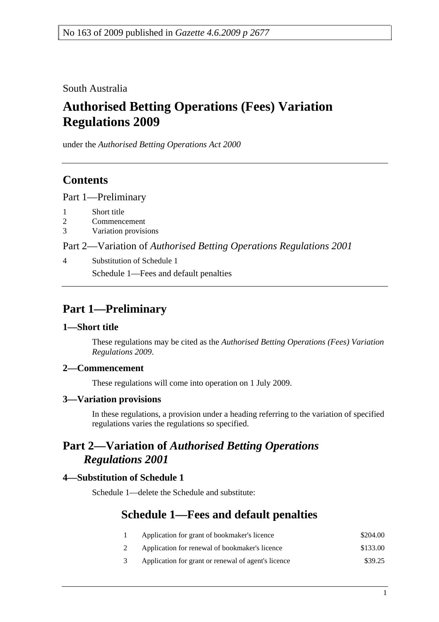South Australia

# **Authorised Betting Operations (Fees) Variation Regulations 2009**

under the *Authorised Betting Operations Act 2000*

### **Contents**

Part 1—Preliminary

- 1 Short title
- 2 Commencement
- 3 Variation provisions

Part 2—Variation of *Authorised Betting Operations Regulations 2001*

4 Substitution of Schedule 1 Schedule 1—Fees and default penalties

# **Part 1—Preliminary**

#### **1—Short title**

These regulations may be cited as the *Authorised Betting Operations (Fees) Variation Regulations 2009*.

#### **2—Commencement**

These regulations will come into operation on 1 July 2009.

#### **3—Variation provisions**

In these regulations, a provision under a heading referring to the variation of specified regulations varies the regulations so specified.

### **Part 2—Variation of** *Authorised Betting Operations Regulations 2001*

#### **4—Substitution of Schedule 1**

Schedule 1—delete the Schedule and substitute:

## **Schedule 1—Fees and default penalties**

| Application for grant of bookmaker's licence   | \$204.00 |
|------------------------------------------------|----------|
| Application for renewal of bookmaker's licence | \$133.00 |

3 Application for grant or renewal of agent's licence \$39.25